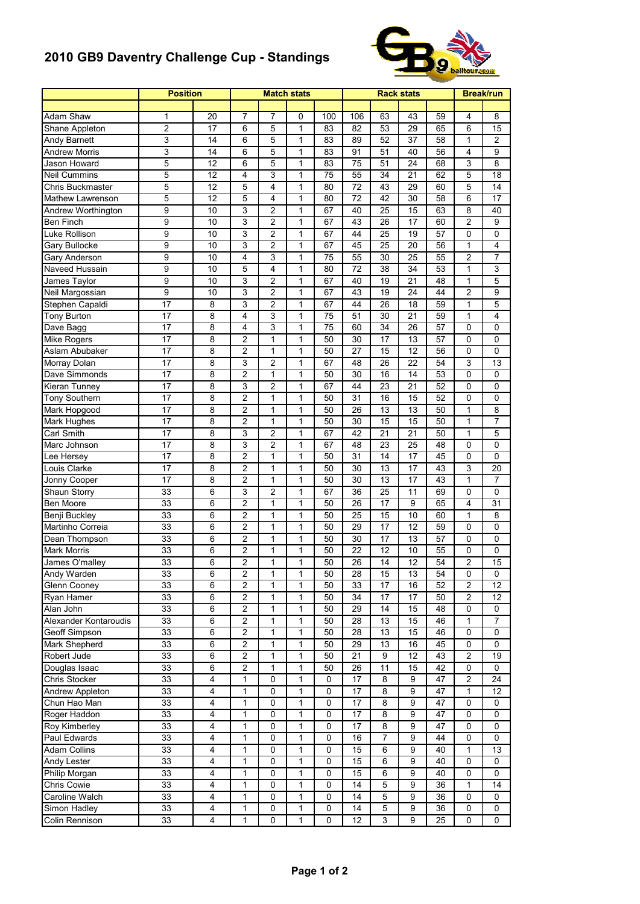## **2010 GB9 Daventry Challenge Cup - Standings**



|                       | <b>Position</b> |                 |                         | <b>Match stats</b> |              |             | <b>Rack stats</b> | <b>Break/run</b> |                  |    |                |                 |
|-----------------------|-----------------|-----------------|-------------------------|--------------------|--------------|-------------|-------------------|------------------|------------------|----|----------------|-----------------|
|                       |                 |                 |                         |                    |              |             |                   |                  |                  |    |                |                 |
| Adam Shaw             | 1               | 20              | 7                       | 7                  | 0            | 100         | 106               | 63               | 43               | 59 | 4              | 8               |
| Shane Appleton        | $\overline{c}$  | 17              | 6                       | 5                  | $\mathbf{1}$ | 83          | 82                | 53               | 29               | 65 | 6              | 15              |
| Andy Barnett          | 3               | 14              | 6                       | 5                  | 1            | 83          | 89                | 52               | 37               | 58 | 1              | $\overline{c}$  |
| Andrew Morris         | 3               | 14              | 6                       | 5                  | 1            | 83          | 91                | 51               | 40               | 56 | $\overline{4}$ | 9               |
| Jason Howard          | 5               | 12              | 6                       | 5                  | 1            | 83          | 75                | 51               | 24               | 68 | 3              | 8               |
| <b>Neil Cummins</b>   | 5               | 12              | 4                       | 3                  | $\mathbf{1}$ | 75          | 55                | 34               | 21               | 62 | 5              | 18              |
| Chris Buckmaster      | 5               | 12              | 5                       | 4                  | $\mathbf{1}$ | 80          | 72                | 43               | 29               | 60 | 5              | 14              |
| Mathew Lawrenson      | 5               | $\overline{12}$ | 5                       | 4                  | 1            | 80          | 72                | 42               | 30               | 58 | 6              | 17              |
| Andrew Worthington    | 9               | 10              | 3                       | 2                  | $\mathbf{1}$ | 67          | 40                | 25               | 15               | 63 | 8              | 40              |
| Ben Finch             | 9               | 10              | 3                       | 2                  | $\mathbf{1}$ | 67          | 43                | 26               | 17               | 60 | 2              | 9               |
| Luke Rollison         | 9               | 10              | 3                       | 2                  | 1            | 67          | 44                | 25               | 19               | 57 | 0              | 0               |
| Gary Bullocke         | 9               | 10              | 3                       | $\overline{2}$     | 1            | 67          | 45                | 25               | 20               | 56 | 1              | 4               |
| Gary Anderson         | 9               | 10              | 4                       | 3                  | $\mathbf{1}$ | 75          | 55                | 30               | 25               | 55 | 2              | 7               |
| Naveed Hussain        | 9               | 10              | 5                       | 4                  | 1            | 80          | 72                | 38               | 34               | 53 | 1              | 3               |
| James Taylor          | 9               | 10              | 3                       | $\overline{c}$     | 1            | 67          | 40                | 19               | 21               | 48 | $\mathbf{1}$   | 5               |
|                       | 9               | 10              | 3                       |                    |              | 67          | 43                | 19               | 24               | 44 | 2              | 9               |
| Neil Margossian       |                 |                 |                         | 2                  | 1            |             |                   |                  |                  |    |                |                 |
| Stephen Capaldi       | 17              | 8               | 3                       | 2                  | 1            | 67          | 44                | 26               | 18               | 59 | 1              | 5               |
| Tony Burton           | 17              | 8               | 4                       | 3                  | $\mathbf{1}$ | 75          | 51                | 30               | 21               | 59 | $\mathbf{1}$   | 4               |
| Dave Bagg             | 17              | 8               | 4                       | 3                  | 1            | 75          | 60                | 34               | 26               | 57 | 0              | 0               |
| Mike Rogers           | 17              | 8               | $\overline{2}$          | 1                  | 1            | 50          | 30                | 17               | 13               | 57 | 0              | 0               |
| Aslam Abubaker        | 17              | 8               | $\overline{2}$          | 1                  | $\mathbf{1}$ | 50          | 27                | 15               | 12               | 56 | 0              | 0               |
| Morray Dolan          | 17              | 8               | 3                       | 2                  | 1            | 67          | 48                | 26               | 22               | 54 | 3              | 13              |
| Dave Simmonds         | 17              | 8               | $\overline{2}$          | 1                  | 1            | 50          | 30                | 16               | 14               | 53 | 0              | 0               |
| Kieran Tunney         | 17              | 8               | 3                       | 2                  | $\mathbf{1}$ | 67          | 44                | 23               | 21               | 52 | 0              | 0               |
| Tony Southern         | 17              | 8               | 2                       | 1                  | $\mathbf{1}$ | 50          | 31                | 16               | 15               | 52 | 0              | 0               |
| Mark Hopgood          | 17              | 8               | $\overline{2}$          | 1                  | 1            | 50          | 26                | 13               | 13               | 50 | 1              | 8               |
| Mark Hughes           | 17              | 8               | $\overline{2}$          | 1                  | 1            | 50          | 30                | 15               | 15               | 50 | 1              | 7               |
| Carl Smith            | 17              | 8               | 3                       | 2                  | 1            | 67          | 42                | 21               | 21               | 50 | 1              | 5               |
| Marc Johnson          | 17              | 8               | 3                       | 2                  | $\mathbf{1}$ | 67          | 48                | 23               | 25               | 48 | $\Omega$       | 0               |
| Lee Hersey            | 17              | 8               | $\overline{2}$          | 1                  | 1            | 50          | 31                | 14               | 17               | 45 | 0              | 0               |
| Louis Clarke          | 17              | 8               | $\overline{c}$          | 1                  | 1            | 50          | 30                | 13               | 17               | 43 | 3              | 20              |
| Jonny Cooper          | 17              | 8               | $\overline{c}$          | 1                  | 1            | 50          | 30                | 13               | 17               | 43 | 1              | $\overline{7}$  |
| Shaun Storry          | 33              | 6               | 3                       | 2                  | 1            | 67          | 36                | 25               | 11               | 69 | 0              | 0               |
| Ben Moore             | 33              | 6               | $\overline{c}$          | 1                  | 1            | 50          | 26                | 17               | 9                | 65 | 4              | 31              |
| Benji Buckley         | 33              | 6               | $\overline{c}$          | 1                  | $\mathbf{1}$ | 50          | 25                | 15               | 10               | 60 | 1              | 8               |
| Martinho Correia      | 33              | 6               | $\overline{c}$          | 1                  | $\mathbf{1}$ | 50          | 29                | 17               | 12               | 59 | 0              | 0               |
| Dean Thompson         | 33              | 6               | $\overline{2}$          | 1                  | 1            | 50          | 30                | 17               | 13               | 57 | 0              | 0               |
| <b>Mark Morris</b>    | 33              | 6               | $\overline{c}$          | 1                  | 1            | 50          | 22                | 12               | 10               | 55 | 0              | 0               |
| James O'malley        | 33              | 6               | 2                       | 1                  | 1            | 50          | 26                | 14               | 12               | 54 | 2              | 15              |
| Andy Warden           | 33              | 6               | $\overline{c}$          | 1                  | 1            | 50          | 28                | 15               | 13               | 54 | 0              | 0               |
| Glenn Cooney          | 33              | 6               | 2                       | 1                  | 1            | 50          | 33                | 17               | 16               | 52 | $\overline{c}$ | 12              |
| Ryan Hamer            | 33              | 6               | $\overline{\mathbf{c}}$ | 1                  | $\mathbf{1}$ | 50          | 34                | 17               | $\overline{17}$  | 50 | $\overline{c}$ | 12              |
| Alan John             | 33              | $\overline{6}$  | $\overline{2}$          | $\mathbf{1}$       | 1            | 50          | 29                | 14               | 15               | 48 | 0              | 0               |
| Alexander Kontaroudis | 33              | 6               | $\overline{2}$          | 1                  | 1            | 50          | 28                | 13               | 15               | 46 | 1              | 7               |
| Geoff Simpson         | 33              | 6               | $\overline{2}$          | 1                  | 1            | 50          | 28                | 13               | 15               | 46 | 0              | 0               |
| Mark Shepherd         | 33              | 6               | $\overline{c}$          | $\mathbf{1}$       | 1            | 50          | 29                | 13               | 16               | 45 | 0              | 0               |
| Robert Jude           | 33              | 6               | $\overline{c}$          | 1                  | 1            | 50          | 21                | 9                | 12               | 43 | $\overline{c}$ | 19              |
| Douglas Isaac         | 33              | 6               | $\overline{c}$          | 1                  | 1            | 50          | 26                | 11               | 15               | 42 | 0              | 0               |
| Chris Stocker         | 33              | 4               | 1                       | 0                  | 1            | 0           | 17                | 8                | 9                | 47 | 2              | 24              |
| Andrew Appleton       | 33              | 4               | 1                       | 0                  | 1            | 0           | 17                | 8                | 9                | 47 | 1              | 12              |
| Chun Hao Man          | 33              | 4               | 1                       | 0                  | 1            | 0           | 17                | 8                | 9                | 47 | 0              | 0               |
| Roger Haddon          | 33              | 4               | 1                       | 0                  | 1            | 0           | 17                | 8                | 9                | 47 | 0              | 0               |
| Roy Kimberley         | 33              | 4               | 1                       | 0                  | $\mathbf{1}$ | 0           | 17                | 8                | 9                | 47 | 0              | 0               |
| Paul Edwards          | 33              | $\overline{4}$  | 1                       | 0                  | $\mathbf{1}$ | $\pmb{0}$   | 16                | 7                | $\boldsymbol{9}$ | 44 | $\pmb{0}$      | 0               |
| <b>Adam Collins</b>   | 33              | 4               | 1                       | 0                  | 1            | 0           | $\overline{15}$   | 6                | 9                | 40 | 1              | $\overline{13}$ |
| Andy Lester           | 33              | 4               | 1                       | 0                  | 1            | 0           | 15                | 6                | 9                | 40 | 0              | 0               |
| Philip Morgan         | 33              | 4               | 1                       | 0                  | 1            | 0           | 15                | 6                | 9                | 40 | 0              | 0               |
|                       | 33              | 4               |                         | 0                  | 1            |             | 14                | 5                | 9                | 36 | 1              | 14              |
| Chris Cowie           |                 |                 | 1                       |                    |              | 0           |                   |                  |                  |    |                |                 |
| Caroline Walch        | 33              | 4               | $\mathbf{1}$            | 0                  | 1            | 0           | 14                | 5                | $\boldsymbol{9}$ | 36 | 0              | 0               |
| Simon Hadley          | 33              | 4               | 1                       | 0                  | $\mathbf{1}$ | $\mathbf 0$ | 14                | 5                | 9                | 36 | 0              | 0               |
| Colin Rennison        | 33              | 4               | 1                       | 0                  | 1            | 0           | 12                | 3                | 9                | 25 | 0              | 0               |